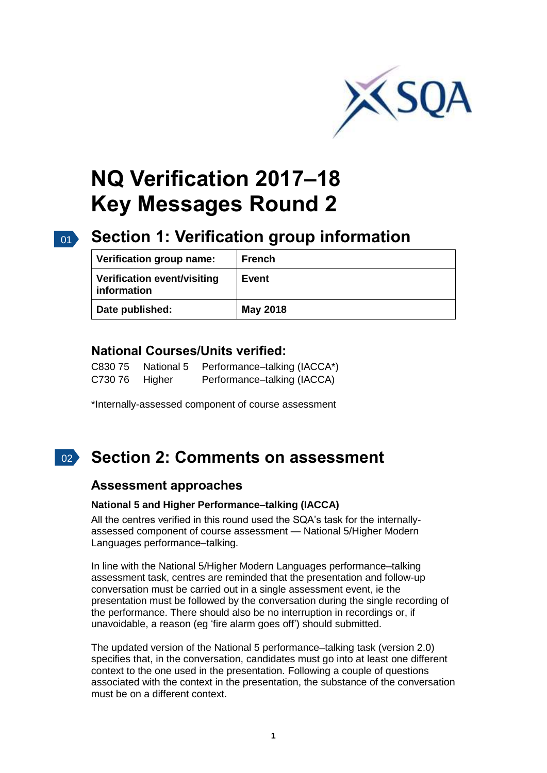

# **NQ Verification 2017–18 Key Messages Round 2**

# 01 **Section 1: Verification group information**

| Verification group name:                   | <b>French</b> |
|--------------------------------------------|---------------|
| Verification event/visiting<br>information | Event         |
| Date published:                            | May 2018      |

### **National Courses/Units verified:**

| C830 75 | National 5 | Performance-talking (IACCA*) |
|---------|------------|------------------------------|
| C730 76 | Higher     | Performance-talking (IACCA)  |

\*Internally-assessed component of course assessment

#### $\vert$  02  $\rangle$ **Section 2: Comments on assessment**

### **Assessment approaches**

#### **National 5 and Higher Performance–talking (IACCA)**

All the centres verified in this round used the SQA's task for the internallyassessed component of course assessment — National 5/Higher Modern Languages performance–talking.

In line with the National 5/Higher Modern Languages performance–talking assessment task, centres are reminded that the presentation and follow-up conversation must be carried out in a single assessment event, ie the presentation must be followed by the conversation during the single recording of the performance. There should also be no interruption in recordings or, if unavoidable, a reason (eg 'fire alarm goes off') should submitted.

The updated version of the National 5 performance–talking task (version 2.0) specifies that, in the conversation, candidates must go into at least one different context to the one used in the presentation. Following a couple of questions associated with the context in the presentation, the substance of the conversation must be on a different context.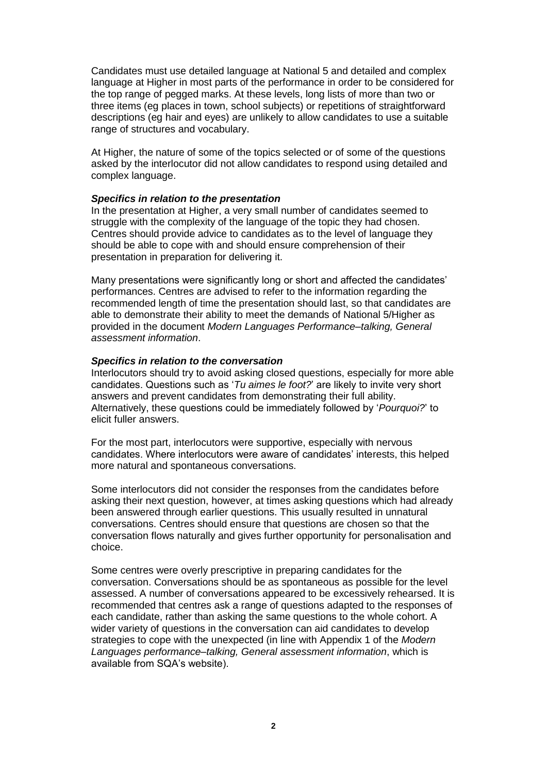Candidates must use detailed language at National 5 and detailed and complex language at Higher in most parts of the performance in order to be considered for the top range of pegged marks. At these levels, long lists of more than two or three items (eg places in town, school subjects) or repetitions of straightforward descriptions (eg hair and eyes) are unlikely to allow candidates to use a suitable range of structures and vocabulary.

At Higher, the nature of some of the topics selected or of some of the questions asked by the interlocutor did not allow candidates to respond using detailed and complex language.

#### *Specifics in relation to the presentation*

In the presentation at Higher, a very small number of candidates seemed to struggle with the complexity of the language of the topic they had chosen. Centres should provide advice to candidates as to the level of language they should be able to cope with and should ensure comprehension of their presentation in preparation for delivering it.

Many presentations were significantly long or short and affected the candidates' performances. Centres are advised to refer to the information regarding the recommended length of time the presentation should last, so that candidates are able to demonstrate their ability to meet the demands of National 5/Higher as provided in the document *Modern Languages Performance–talking, General assessment information*.

#### *Specifics in relation to the conversation*

Interlocutors should try to avoid asking closed questions, especially for more able candidates. Questions such as '*Tu aimes le foot?*' are likely to invite very short answers and prevent candidates from demonstrating their full ability. Alternatively, these questions could be immediately followed by '*Pourquoi?*' to elicit fuller answers.

For the most part, interlocutors were supportive, especially with nervous candidates. Where interlocutors were aware of candidates' interests, this helped more natural and spontaneous conversations.

Some interlocutors did not consider the responses from the candidates before asking their next question, however, at times asking questions which had already been answered through earlier questions. This usually resulted in unnatural conversations. Centres should ensure that questions are chosen so that the conversation flows naturally and gives further opportunity for personalisation and choice.

Some centres were overly prescriptive in preparing candidates for the conversation. Conversations should be as spontaneous as possible for the level assessed. A number of conversations appeared to be excessively rehearsed. It is recommended that centres ask a range of questions adapted to the responses of each candidate, rather than asking the same questions to the whole cohort. A wider variety of questions in the conversation can aid candidates to develop strategies to cope with the unexpected (in line with Appendix 1 of the *Modern Languages performance–talking, General assessment information*, which is available from SQA's website).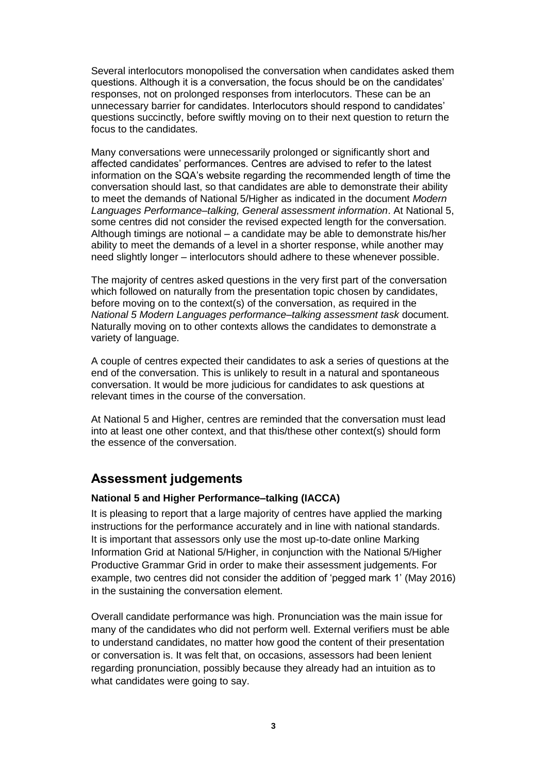Several interlocutors monopolised the conversation when candidates asked them questions. Although it is a conversation, the focus should be on the candidates' responses, not on prolonged responses from interlocutors. These can be an unnecessary barrier for candidates. Interlocutors should respond to candidates' questions succinctly, before swiftly moving on to their next question to return the focus to the candidates.

Many conversations were unnecessarily prolonged or significantly short and affected candidates' performances. Centres are advised to refer to the latest information on the SQA's website regarding the recommended length of time the conversation should last, so that candidates are able to demonstrate their ability to meet the demands of National 5/Higher as indicated in the document *Modern Languages Performance–talking, General assessment information*. At National 5, some centres did not consider the revised expected length for the conversation. Although timings are notional – a candidate may be able to demonstrate his/her ability to meet the demands of a level in a shorter response, while another may need slightly longer – interlocutors should adhere to these whenever possible.

The majority of centres asked questions in the very first part of the conversation which followed on naturally from the presentation topic chosen by candidates, before moving on to the context(s) of the conversation, as required in the *National 5 Modern Languages performance–talking assessment task* document. Naturally moving on to other contexts allows the candidates to demonstrate a variety of language.

A couple of centres expected their candidates to ask a series of questions at the end of the conversation. This is unlikely to result in a natural and spontaneous conversation. It would be more judicious for candidates to ask questions at relevant times in the course of the conversation.

At National 5 and Higher, centres are reminded that the conversation must lead into at least one other context, and that this/these other context(s) should form the essence of the conversation.

## **Assessment judgements**

#### **National 5 and Higher Performance–talking (IACCA)**

It is pleasing to report that a large majority of centres have applied the marking instructions for the performance accurately and in line with national standards. It is important that assessors only use the most up-to-date online Marking Information Grid at National 5/Higher, in conjunction with the National 5/Higher Productive Grammar Grid in order to make their assessment judgements. For example, two centres did not consider the addition of 'pegged mark 1' (May 2016) in the sustaining the conversation element.

Overall candidate performance was high. Pronunciation was the main issue for many of the candidates who did not perform well. External verifiers must be able to understand candidates, no matter how good the content of their presentation or conversation is. It was felt that, on occasions, assessors had been lenient regarding pronunciation, possibly because they already had an intuition as to what candidates were going to say.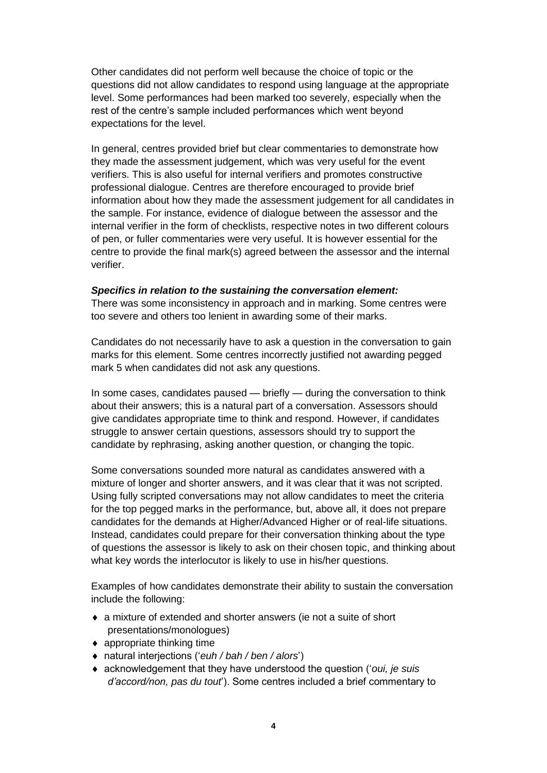Other candidates did not perform well because the choice of topic or the questions did not allow candidates to respond using language at the appropriate level. Some performances had been marked too severely, especially when the rest of the centre's sample included performances which went beyond expectations for the level.

In general, centres provided brief but clear commentaries to demonstrate how they made the assessment judgement, which was very useful for the event verifiers. This is also useful for internal verifiers and promotes constructive professional dialogue. Centres are therefore encouraged to provide brief information about how they made the assessment judgement for all candidates in the sample. For instance, evidence of dialogue between the assessor and the internal verifier in the form of checklists, respective notes in two different colours of pen, or fuller commentaries were very useful. It is however essential for the centre to provide the final mark(s) agreed between the assessor and the internal verifier.

#### *Specifics in relation to the sustaining the conversation element:*

There was some inconsistency in approach and in marking. Some centres were too severe and others too lenient in awarding some of their marks.

Candidates do not necessarily have to ask a question in the conversation to gain marks for this element. Some centres incorrectly justified not awarding pegged mark 5 when candidates did not ask any questions.

In some cases, candidates paused — briefly — during the conversation to think about their answers; this is a natural part of a conversation. Assessors should give candidates appropriate time to think and respond. However, if candidates struggle to answer certain questions, assessors should try to support the candidate by rephrasing, asking another question, or changing the topic.

Some conversations sounded more natural as candidates answered with a mixture of longer and shorter answers, and it was clear that it was not scripted. Using fully scripted conversations may not allow candidates to meet the criteria for the top pegged marks in the performance, but, above all, it does not prepare candidates for the demands at Higher/Advanced Higher or of real-life situations. Instead, candidates could prepare for their conversation thinking about the type of questions the assessor is likely to ask on their chosen topic, and thinking about what key words the interlocutor is likely to use in his/her questions.

Examples of how candidates demonstrate their ability to sustain the conversation include the following:

- a mixture of extended and shorter answers (ie not a suite of short presentations/monologues)
- ◆ appropriate thinking time
- natural interjections ('*euh / bah / ben / alors*')
- acknowledgement that they have understood the question ('*oui, je suis d'accord/non, pas du tout*'). Some centres included a brief commentary to